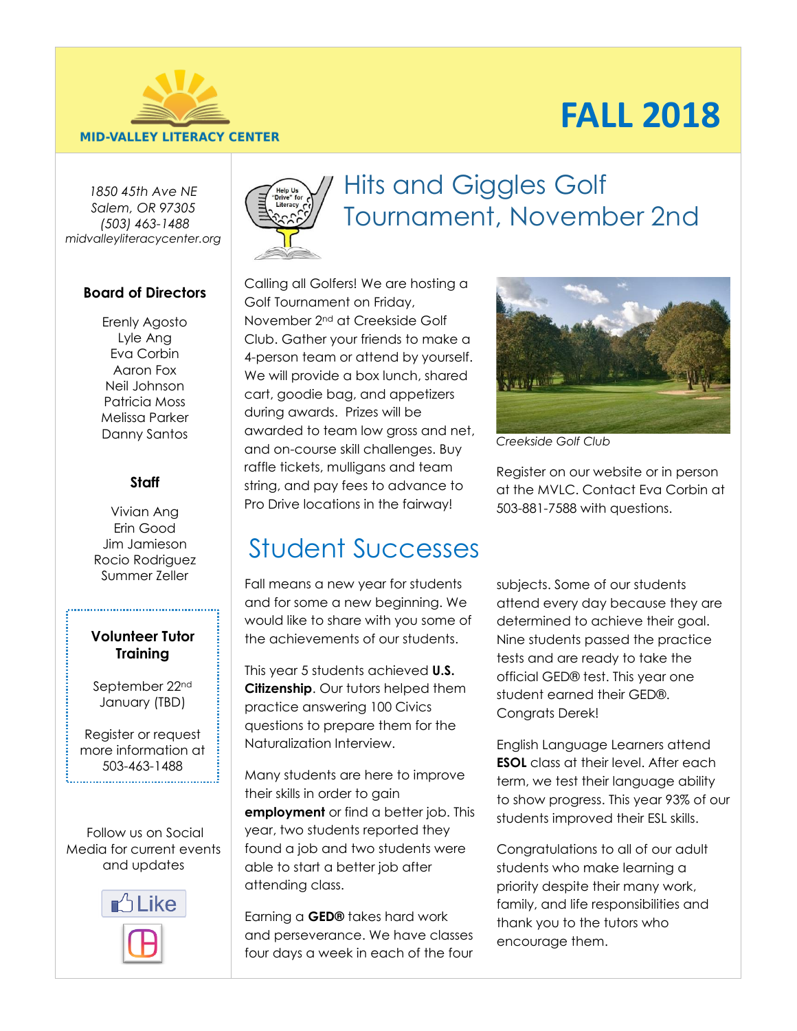# **FALL 2018**



#### **MID-VALLEY LITERACY CENTER**

*1850 45th Ave NE Salem, OR 97305 [\(503\) 463-1488](tel:5034631488) midvalleyliteracycenter.org*

### **Board of Directors**

Erenly Agosto Lyle Ang Eva Corbin Aaron Fox Neil Johnson Patricia Moss Melissa Parker Danny Santos

### **Staff**

Vivian Ang Erin Good Jim Jamieson Rocio Rodriguez

### **Volunteer Tutor Training**

September 22nd January (TBD)

Register or request more information at 503-463-1488 

Follow us on Social Media for current events and updates





# Hits and Giggles Golf Tournament, November 2nd

Calling all Golfers! We are hosting a Golf Tournament on Friday, November 2nd at Creekside Golf Club. Gather your friends to make a 4-person team or attend by yourself. We will provide a box lunch, shared cart, goodie bag, and appetizers during awards. Prizes will be awarded to team low gross and net, and on-course skill challenges. Buy raffle tickets, mulligans and team string, and pay fees to advance to Pro Drive locations in the fairway!



*Creekside Golf Club*

Register on our website or in person at the MVLC. Contact Eva Corbin at 503-881-7588 with questions.

# Student Successes

Summer Zeller Fall means a new year for students subjects. Some of our students and for some a new beginning. We would like to share with you some of the achievements of our students.

> This year 5 students achieved **U.S. Citizenship**. Our tutors helped them practice answering 100 Civics questions to prepare them for the Naturalization Interview.

Many students are here to improve their skills in order to gain **employment** or find a better job. This year, two students reported they found a job and two students were able to start a better job after attending class.

Earning a **GED®** takes hard work and perseverance. We have classes four days a week in each of the four

attend every day because they are determined to achieve their goal. Nine students passed the practice tests and are ready to take the official GED® test. This year one student earned their GED®. Congrats Derek!

English Language Learners attend **ESOL** class at their level. After each term, we test their language ability to show progress. This year 93% of our students improved their ESL skills.

Congratulations to all of our adult students who make learning a priority despite their many work, family, and life responsibilities and thank you to the tutors who encourage them.